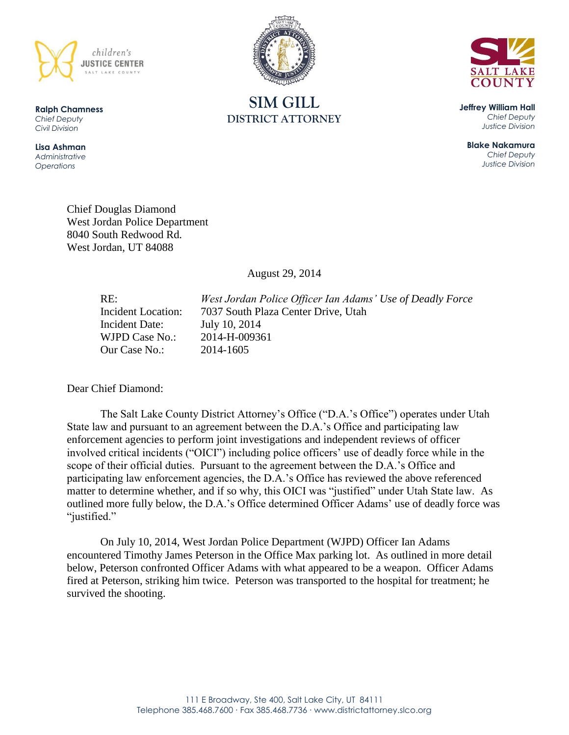

**Ralph Chamness**  *Chief Deputy Civil Division*

**Lisa Ashman** *Administrative Operations*





**Jeffrey William Hall** *Chief Deputy Justice Division*

**Blake Nakamura** *Chief Deputy Justice Division*

Chief Douglas Diamond West Jordan Police Department 8040 South Redwood Rd. West Jordan, UT 84088

August 29, 2014

Incident Date: July 10, 2014 WJPD Case No.: 2014-H-009361 Our Case No.: 2014-1605

RE: *West Jordan Police Officer Ian Adams' Use of Deadly Force* Incident Location: 7037 South Plaza Center Drive, Utah

Dear Chief Diamond:

The Salt Lake County District Attorney's Office ("D.A.'s Office") operates under Utah State law and pursuant to an agreement between the D.A.'s Office and participating law enforcement agencies to perform joint investigations and independent reviews of officer involved critical incidents ("OICI") including police officers' use of deadly force while in the scope of their official duties. Pursuant to the agreement between the D.A.'s Office and participating law enforcement agencies, the D.A.'s Office has reviewed the above referenced matter to determine whether, and if so why, this OICI was "justified" under Utah State law. As outlined more fully below, the D.A.'s Office determined Officer Adams' use of deadly force was "justified."

On July 10, 2014, West Jordan Police Department (WJPD) Officer Ian Adams encountered Timothy James Peterson in the Office Max parking lot. As outlined in more detail below, Peterson confronted Officer Adams with what appeared to be a weapon. Officer Adams fired at Peterson, striking him twice. Peterson was transported to the hospital for treatment; he survived the shooting.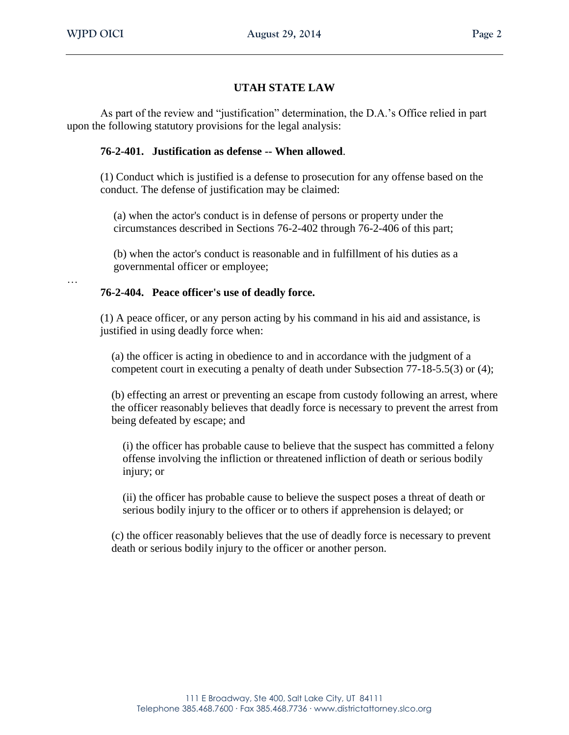# **UTAH STATE LAW**

As part of the review and "justification" determination, the D.A.'s Office relied in part upon the following statutory provisions for the legal analysis:

# **76-2-401. Justification as defense -- When allowed**.

(1) Conduct which is justified is a defense to prosecution for any offense based on the conduct. The defense of justification may be claimed:

(a) when the actor's conduct is in defense of persons or property under the circumstances described in Sections 76-2-402 through 76-2-406 of this part;

(b) when the actor's conduct is reasonable and in fulfillment of his duties as a governmental officer or employee;

…

### **76-2-404. Peace officer's use of deadly force.**

(1) A peace officer, or any person acting by his command in his aid and assistance, is justified in using deadly force when:

(a) the officer is acting in obedience to and in accordance with the judgment of a competent court in executing a penalty of death under Subsection 77-18-5.5(3) or (4);

(b) effecting an arrest or preventing an escape from custody following an arrest, where the officer reasonably believes that deadly force is necessary to prevent the arrest from being defeated by escape; and

(i) the officer has probable cause to believe that the suspect has committed a felony offense involving the infliction or threatened infliction of death or serious bodily injury; or

(ii) the officer has probable cause to believe the suspect poses a threat of death or serious bodily injury to the officer or to others if apprehension is delayed; or

(c) the officer reasonably believes that the use of deadly force is necessary to prevent death or serious bodily injury to the officer or another person.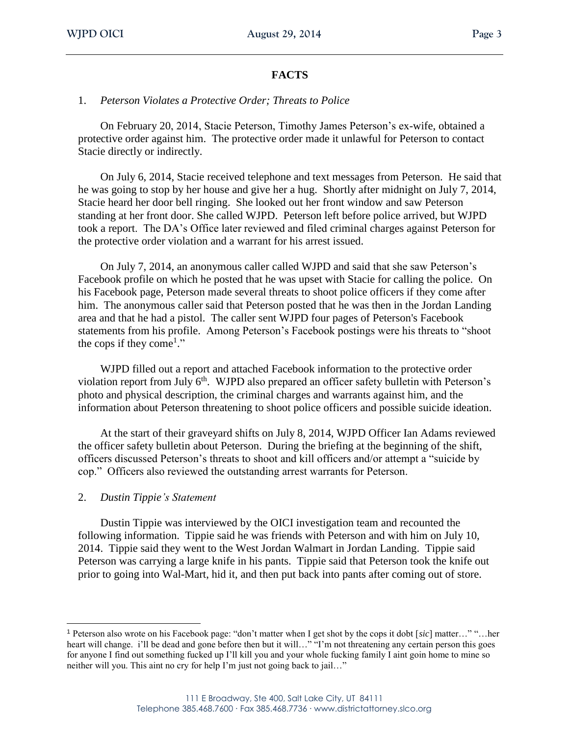# **FACTS**

### 1. *Peterson Violates a Protective Order; Threats to Police*

On February 20, 2014, Stacie Peterson, Timothy James Peterson's ex-wife, obtained a protective order against him. The protective order made it unlawful for Peterson to contact Stacie directly or indirectly.

On July 6, 2014, Stacie received telephone and text messages from Peterson. He said that he was going to stop by her house and give her a hug. Shortly after midnight on July 7, 2014, Stacie heard her door bell ringing. She looked out her front window and saw Peterson standing at her front door. She called WJPD. Peterson left before police arrived, but WJPD took a report. The DA's Office later reviewed and filed criminal charges against Peterson for the protective order violation and a warrant for his arrest issued.

On July 7, 2014, an anonymous caller called WJPD and said that she saw Peterson's Facebook profile on which he posted that he was upset with Stacie for calling the police. On his Facebook page, Peterson made several threats to shoot police officers if they come after him. The anonymous caller said that Peterson posted that he was then in the Jordan Landing area and that he had a pistol. The caller sent WJPD four pages of Peterson's Facebook statements from his profile. Among Peterson's Facebook postings were his threats to "shoot the cops if they come<sup>1</sup>."

WJPD filled out a report and attached Facebook information to the protective order violation report from July 6<sup>th</sup>. WJPD also prepared an officer safety bulletin with Peterson's photo and physical description, the criminal charges and warrants against him, and the information about Peterson threatening to shoot police officers and possible suicide ideation.

At the start of their graveyard shifts on July 8, 2014, WJPD Officer Ian Adams reviewed the officer safety bulletin about Peterson. During the briefing at the beginning of the shift, officers discussed Peterson's threats to shoot and kill officers and/or attempt a "suicide by cop." Officers also reviewed the outstanding arrest warrants for Peterson.

#### 2. *Dustin Tippie's Statement*

 $\overline{a}$ 

Dustin Tippie was interviewed by the OICI investigation team and recounted the following information. Tippie said he was friends with Peterson and with him on July 10, 2014. Tippie said they went to the West Jordan Walmart in Jordan Landing. Tippie said Peterson was carrying a large knife in his pants. Tippie said that Peterson took the knife out prior to going into Wal-Mart, hid it, and then put back into pants after coming out of store.

<sup>1</sup> Peterson also wrote on his Facebook page: "don't matter when I get shot by the cops it dobt [*sic*] matter…" "…her heart will change. i'll be dead and gone before then but it will..." "I'm not threatening any certain person this goes for anyone I find out something fucked up I'll kill you and your whole fucking family I aint goin home to mine so neither will you. This aint no cry for help I'm just not going back to jail…"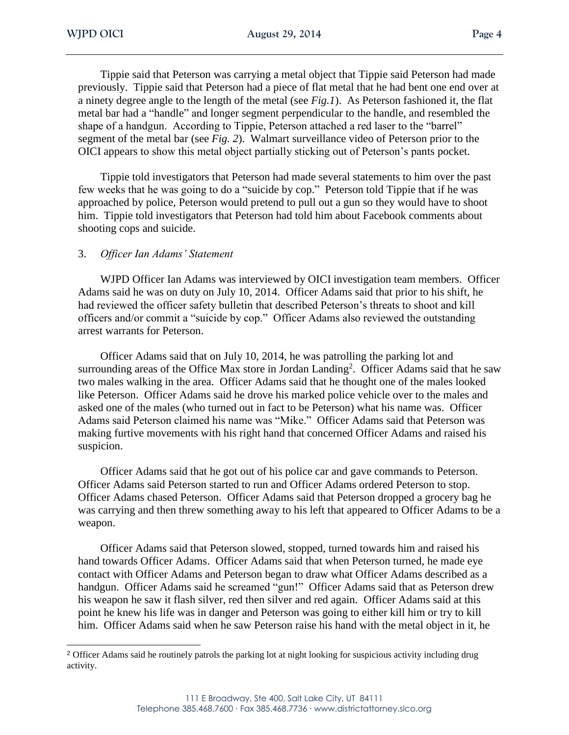Tippie said that Peterson was carrying a metal object that Tippie said Peterson had made previously. Tippie said that Peterson had a piece of flat metal that he had bent one end over at a ninety degree angle to the length of the metal (see *Fig.1*). As Peterson fashioned it, the flat metal bar had a "handle" and longer segment perpendicular to the handle, and resembled the shape of a handgun. According to Tippie, Peterson attached a red laser to the "barrel" segment of the metal bar (see *Fig. 2*). Walmart surveillance video of Peterson prior to the OICI appears to show this metal object partially sticking out of Peterson's pants pocket.

Tippie told investigators that Peterson had made several statements to him over the past few weeks that he was going to do a "suicide by cop." Peterson told Tippie that if he was approached by police, Peterson would pretend to pull out a gun so they would have to shoot him. Tippie told investigators that Peterson had told him about Facebook comments about shooting cops and suicide.

# 3. *Officer Ian Adams' Statement*

WJPD Officer Ian Adams was interviewed by OICI investigation team members. Officer Adams said he was on duty on July 10, 2014. Officer Adams said that prior to his shift, he had reviewed the officer safety bulletin that described Peterson's threats to shoot and kill officers and/or commit a "suicide by cop." Officer Adams also reviewed the outstanding arrest warrants for Peterson.

Officer Adams said that on July 10, 2014, he was patrolling the parking lot and surrounding areas of the Office Max store in Jordan Landing<sup>2</sup>. Officer Adams said that he saw two males walking in the area. Officer Adams said that he thought one of the males looked like Peterson. Officer Adams said he drove his marked police vehicle over to the males and asked one of the males (who turned out in fact to be Peterson) what his name was. Officer Adams said Peterson claimed his name was "Mike." Officer Adams said that Peterson was making furtive movements with his right hand that concerned Officer Adams and raised his suspicion.

Officer Adams said that he got out of his police car and gave commands to Peterson. Officer Adams said Peterson started to run and Officer Adams ordered Peterson to stop. Officer Adams chased Peterson. Officer Adams said that Peterson dropped a grocery bag he was carrying and then threw something away to his left that appeared to Officer Adams to be a weapon.

Officer Adams said that Peterson slowed, stopped, turned towards him and raised his hand towards Officer Adams. Officer Adams said that when Peterson turned, he made eye contact with Officer Adams and Peterson began to draw what Officer Adams described as a handgun. Officer Adams said he screamed "gun!" Officer Adams said that as Peterson drew his weapon he saw it flash silver, red then silver and red again. Officer Adams said at this point he knew his life was in danger and Peterson was going to either kill him or try to kill him. Officer Adams said when he saw Peterson raise his hand with the metal object in it, he

 <sup>2</sup> Officer Adams said he routinely patrols the parking lot at night looking for suspicious activity including drug activity.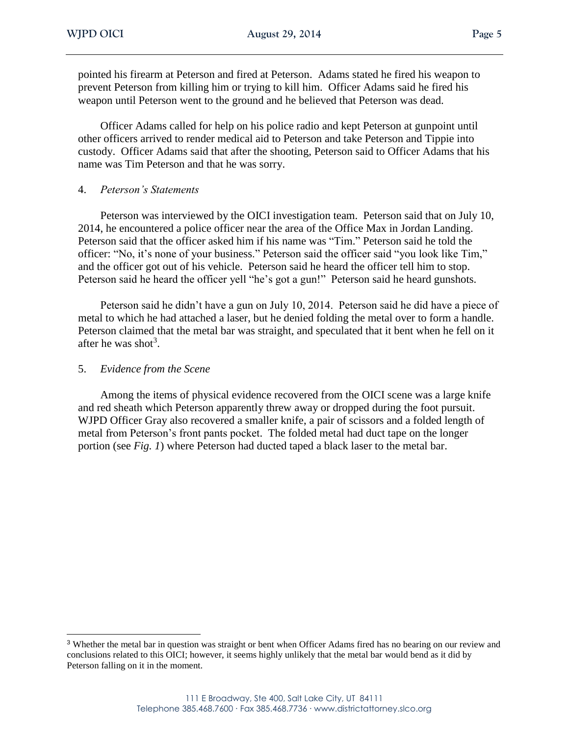pointed his firearm at Peterson and fired at Peterson. Adams stated he fired his weapon to prevent Peterson from killing him or trying to kill him. Officer Adams said he fired his weapon until Peterson went to the ground and he believed that Peterson was dead.

Officer Adams called for help on his police radio and kept Peterson at gunpoint until other officers arrived to render medical aid to Peterson and take Peterson and Tippie into custody. Officer Adams said that after the shooting, Peterson said to Officer Adams that his name was Tim Peterson and that he was sorry.

### 4. *Peterson's Statements*

Peterson was interviewed by the OICI investigation team. Peterson said that on July 10, 2014, he encountered a police officer near the area of the Office Max in Jordan Landing. Peterson said that the officer asked him if his name was "Tim." Peterson said he told the officer: "No, it's none of your business." Peterson said the officer said "you look like Tim," and the officer got out of his vehicle. Peterson said he heard the officer tell him to stop. Peterson said he heard the officer yell "he's got a gun!" Peterson said he heard gunshots.

Peterson said he didn't have a gun on July 10, 2014. Peterson said he did have a piece of metal to which he had attached a laser, but he denied folding the metal over to form a handle. Peterson claimed that the metal bar was straight, and speculated that it bent when he fell on it after he was shot<sup>3</sup>.

### 5. *Evidence from the Scene*

Among the items of physical evidence recovered from the OICI scene was a large knife and red sheath which Peterson apparently threw away or dropped during the foot pursuit. WJPD Officer Gray also recovered a smaller knife, a pair of scissors and a folded length of metal from Peterson's front pants pocket. The folded metal had duct tape on the longer portion (see *Fig. 1*) where Peterson had ducted taped a black laser to the metal bar.

<sup>3</sup> Whether the metal bar in question was straight or bent when Officer Adams fired has no bearing on our review and conclusions related to this OICI; however, it seems highly unlikely that the metal bar would bend as it did by Peterson falling on it in the moment.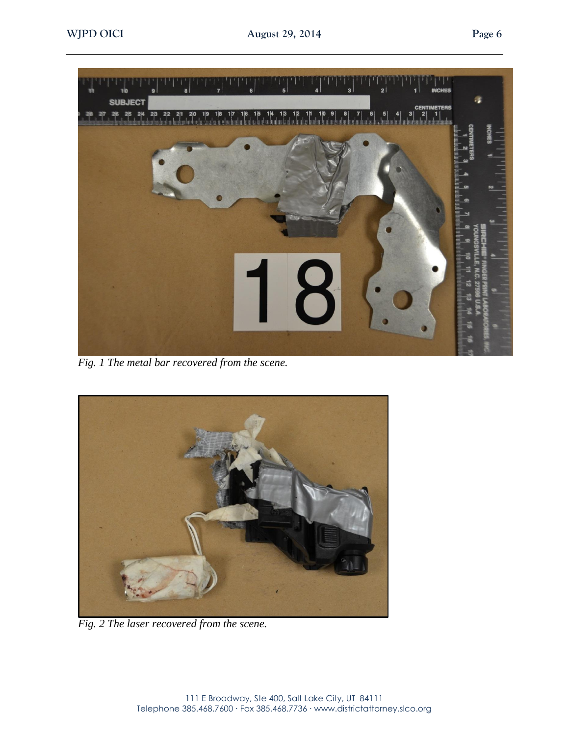

*Fig. 1 The metal bar recovered from the scene.*



*Fig. 2 The laser recovered from the scene.*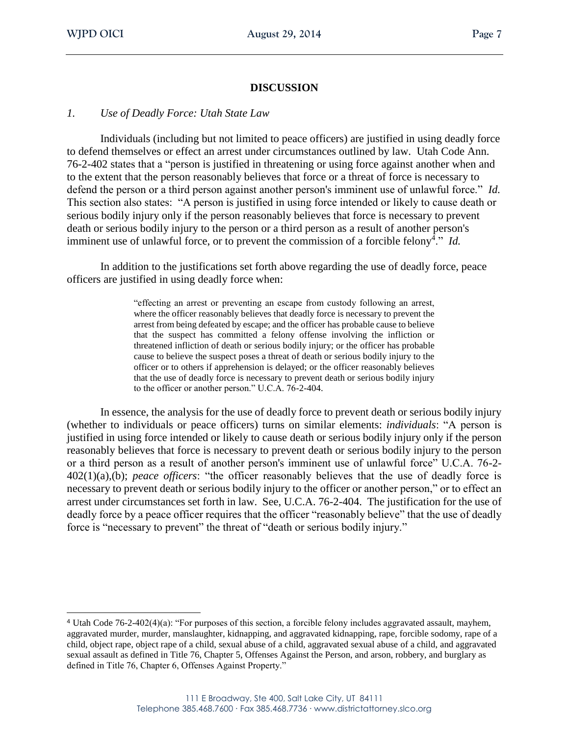# **DISCUSSION**

#### *1. Use of Deadly Force: Utah State Law*

Individuals (including but not limited to peace officers) are justified in using deadly force to defend themselves or effect an arrest under circumstances outlined by law. Utah Code Ann. 76-2-402 states that a "person is justified in threatening or using force against another when and to the extent that the person reasonably believes that force or a threat of force is necessary to defend the person or a third person against another person's imminent use of unlawful force." *Id.* This section also states: "A person is justified in using force intended or likely to cause death or serious bodily injury only if the person reasonably believes that force is necessary to prevent death or serious bodily injury to the person or a third person as a result of another person's imminent use of unlawful force, or to prevent the commission of a forcible felony<sup>4</sup>." *Id*.

In addition to the justifications set forth above regarding the use of deadly force, peace officers are justified in using deadly force when:

> "effecting an arrest or preventing an escape from custody following an arrest, where the officer reasonably believes that deadly force is necessary to prevent the arrest from being defeated by escape; and the officer has probable cause to believe that the suspect has committed a felony offense involving the infliction or threatened infliction of death or serious bodily injury; or the officer has probable cause to believe the suspect poses a threat of death or serious bodily injury to the officer or to others if apprehension is delayed; or the officer reasonably believes that the use of deadly force is necessary to prevent death or serious bodily injury to the officer or another person." U.C.A. 76-2-404.

In essence, the analysis for the use of deadly force to prevent death or serious bodily injury (whether to individuals or peace officers) turns on similar elements: *individuals*: "A person is justified in using force intended or likely to cause death or serious bodily injury only if the person reasonably believes that force is necessary to prevent death or serious bodily injury to the person or a third person as a result of another person's imminent use of unlawful force" U.C.A. 76-2- 402(1)(a),(b); *peace officers*: "the officer reasonably believes that the use of deadly force is necessary to prevent death or serious bodily injury to the officer or another person," or to effect an arrest under circumstances set forth in law. See, U.C.A. 76-2-404. The justification for the use of deadly force by a peace officer requires that the officer "reasonably believe" that the use of deadly force is "necessary to prevent" the threat of "death or serious bodily injury."

<sup>4</sup> Utah Code 76-2-402(4)(a): "For purposes of this section, a forcible felony includes aggravated assault, mayhem, aggravated murder, murder, manslaughter, kidnapping, and aggravated kidnapping, rape, forcible sodomy, rape of a child, object rape, object rape of a child, sexual abuse of a child, aggravated sexual abuse of a child, and aggravated sexual assault as defined in Title 76, Chapter 5, Offenses Against the Person, and arson, robbery, and burglary as defined in Title 76, Chapter 6, Offenses Against Property."